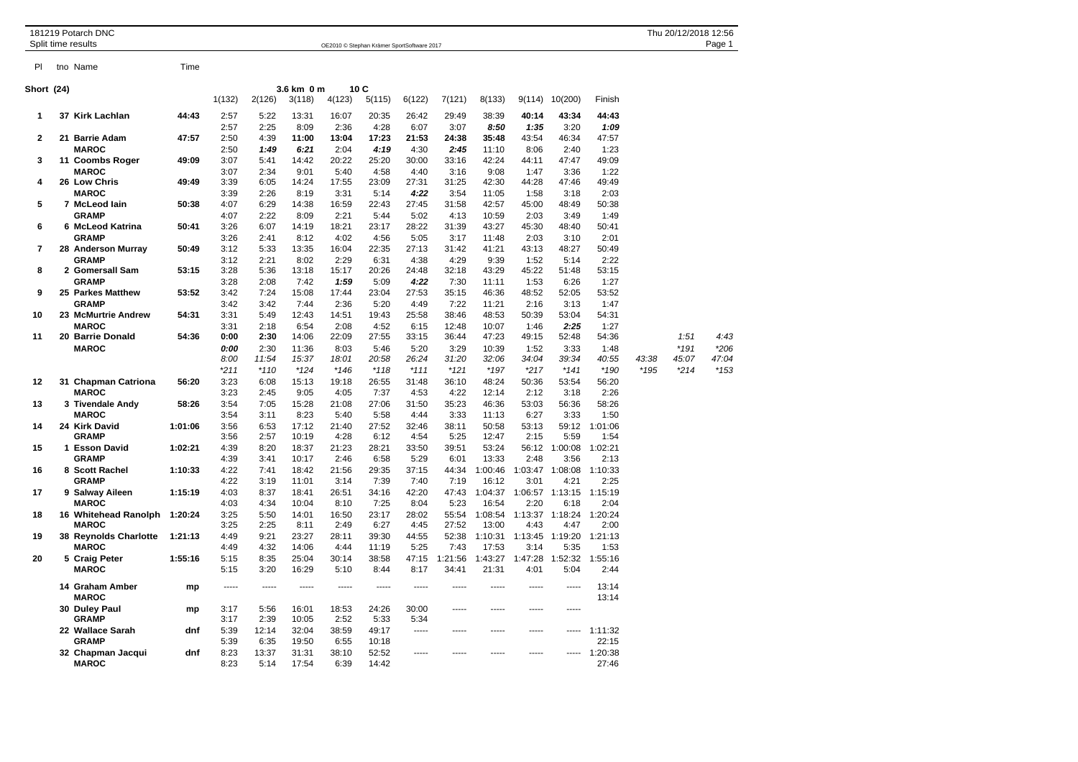| tno Name<br>Time<br>PI.<br>10C<br>3.6 km 0 m<br>1(132)<br>2(126)<br>4(123)<br>3(118)<br>5(115)<br>6(122)<br>7(121)<br>8(133)<br>9(114)<br>10(200)<br>Finish<br>37 Kirk Lachlan<br>44:43<br>2:57<br>5:22<br>13:31<br>16:07<br>20:35<br>26:42<br>29:49<br>38:39<br>40:14<br>43:34<br>44:43<br>1<br>2:57<br>2:25<br>8:09<br>2:36<br>4:28<br>6:07<br>3:07<br>8:50<br>1:35<br>3:20<br>1:09<br>2<br>21 Barrie Adam<br>47:57<br>2:50<br>4:39<br>11:00<br>13:04<br>17:23<br>21:53<br>24:38<br>35:48<br>43:54<br>46:34<br>47:57<br><b>MAROC</b><br>6:21<br>2:04<br>4:19<br>4:30<br>2:45<br>2:40<br>1:23<br>2:50<br>1:49<br>11:10<br>8:06<br>20:22<br>3<br>11 Coombs Roger<br>49:09<br>3:07<br>5:41<br>14:42<br>25:20<br>30:00<br>33:16<br>42:24<br>47:47<br>49:09<br>44:11<br><b>MAROC</b><br>3:07<br>2:34<br>9:01<br>5:40<br>4:58<br>4:40<br>3:16<br>9:08<br>1:47<br>3:36<br>1:22<br>17:55<br>23:09<br>27:31<br>31:25<br>4<br>26 Low Chris<br>49:49<br>3:39<br>6:05<br>14:24<br>42:30<br>44:28<br>47:46<br>49:49<br><b>MAROC</b><br>3:39<br>2:26<br>8:19<br>3:31<br>5:14<br>4:22<br>3:54<br>11:05<br>1:58<br>3:18<br>2:03<br>5<br>7 McLeod Iain<br>50:38<br>4:07<br>6:29<br>14:38<br>16:59<br>22:43<br>27:45<br>31:58<br>42:57<br>45:00<br>48:49<br>50:38<br>4:07<br>2:22<br>8:09<br>2:21<br>5:02<br>2:03<br><b>GRAMP</b><br>5:44<br>4:13<br>10:59<br>3:49<br>1:49<br>6<br>6 McLeod Katrina<br>50:41<br>3:26<br>6:07<br>14:19<br>18:21<br>23:17<br>28:22<br>31:39<br>43:27<br>45:30<br>48:40<br>50:41<br><b>GRAMP</b><br>3:26<br>2:41<br>8:12<br>4:02<br>4:56<br>5:05<br>3:17<br>11:48<br>2:03<br>3:10<br>2:01<br>$\overline{7}$<br>28 Anderson Murray<br>5:33<br>16:04<br>22:35<br>27:13<br>50:49<br>3:12<br>13:35<br>31:42<br>41:21<br>43:13<br>48:27<br>50:49<br><b>GRAMP</b><br>3:12<br>2:21<br>8:02<br>2:29<br>6:31<br>4:38<br>4:29<br>9:39<br>1:52<br>5:14<br>2:22<br>8<br>2 Gomersall Sam<br>53:15<br>3:28<br>5:36<br>13:18<br>15:17<br>20:26<br>24:48<br>32:18<br>43:29<br>45:22<br>51:48<br>53:15<br><b>GRAMP</b><br>3:28<br>2:08<br>7:42<br>1:59<br>5:09<br>4:22<br>7:30<br>11:11<br>1:53<br>6:26<br>1:27<br>15:08<br>27:53<br>9<br>25 Parkes Matthew<br>53:52<br>3:42<br>7:24<br>17:44<br>23:04<br>35:15<br>46:36<br>48:52<br>52:05<br>53:52<br><b>GRAMP</b><br>3:42<br>3:42<br>7:44<br>2:36<br>5:20<br>4:49<br>7:22<br>11:21<br>2:16<br>3:13<br>1:47<br>54:31<br>3:31<br>12:43<br>14:51<br>25:58<br>53:04<br>10<br>23 McMurtrie Andrew<br>5:49<br>19:43<br>38:46<br>48:53<br>50:39<br>54:31<br><b>MAROC</b><br>6:54<br>2:08<br>4:52<br>12:48<br>2:25<br>1:27<br>3:31<br>2:18<br>6:15<br>10:07<br>1:46<br>11<br>20 Barrie Donald<br>54:36<br>0:00<br>2:30<br>14:06<br>22:09<br>27:55<br>33:15<br>36:44<br>47:23<br>49:15<br>52:48<br>1:51<br>54:36<br><b>MAROC</b><br>0:00<br>8:03<br>5:20<br>3:29<br>10:39<br>$*191$<br>2:30<br>11:36<br>5:46<br>1:52<br>3:33<br>1:48<br>8:00<br>11:54<br>15:37<br>18:01<br>20:58<br>26:24<br>31:20<br>32:06<br>34:04<br>39:34<br>40:55<br>43:38<br>45:07<br>$*211$<br>$*110$<br>$*124$<br>$*146$<br>$*118$<br>$*111$<br>$*121$<br>*197<br>$*217$<br>$*141$<br>$*190$<br>$*195$<br>$*214$<br>12<br>31 Chapman Catriona<br>56:20<br>3:23<br>6:08<br>15:13<br>19:18<br>26:55<br>36:10<br>48:24<br>50:36<br>53:54<br>56:20<br>31:48<br>3:23<br>9:05<br>4:05<br>4:22<br>12:14<br>2:12<br>2:26<br><b>MAROC</b><br>2:45<br>7:37<br>4:53<br>3:18<br>13<br>3 Tivendale Andy<br>58:26<br>3:54<br>7:05<br>15:28<br>21:08<br>27:06<br>31:50<br>35:23<br>46:36<br>53:03<br>56:36<br>58:26<br><b>MAROC</b><br>3:54<br>3:11<br>8:23<br>5:40<br>5:58<br>4:44<br>3:33<br>11:13<br>6:27<br>3:33<br>1:50<br>14<br>24 Kirk David<br>1:01:06<br>3:56<br>6:53<br>17:12<br>21:40<br>27:52<br>32:46<br>38:11<br>50:58<br>53:13<br>59:12<br>1:01:06<br><b>GRAMP</b><br>3:56<br>2:57<br>10:19<br>4:28<br>6:12<br>4:54<br>5:25<br>12:47<br>2:15<br>5:59<br>1:54<br>21:23<br>28:21<br>33:50<br>1:02:21<br>15<br>1:02:21<br>4:39<br>8:20<br>18:37<br>39:51<br>53:24<br>56:12<br>1:00:08<br>1 Esson David<br><b>GRAMP</b><br>2:48<br>3:56<br>4:39<br>3:41<br>10:17<br>2:46<br>6:58<br>5:29<br>6:01<br>13:33<br>2:13<br>4:22<br>21:56<br>29:35<br>37:15<br>44:34<br>1:10:33<br>16<br>8 Scott Rachel<br>1:10:33<br>7:41<br>18:42<br>1:00:46<br>1:03:47<br>1:08:08<br><b>GRAMP</b><br>4:22<br>11:01<br>3:14<br>7:39<br>7:40<br>7:19<br>16:12<br>3:01<br>2:25<br>3:19<br>4:21<br>17<br>4:03<br>8:37<br>26:51<br>34:16<br>42:20<br>47:43<br>1:04:37<br>1:06:57 1:13:15<br>1:15:19<br>9 Salway Aileen<br>1:15:19<br>18:41<br><b>MAROC</b><br>4:03<br>4:34<br>10:04<br>8:10<br>7:25<br>8:04<br>5:23<br>16:54<br>2:20<br>6:18<br>2:04<br>3:25<br>14:01<br>16:50<br>23:17<br>28:02<br>55:54<br>1:08:54<br>1:13:37<br>1:18:24<br>1:20:24<br>18<br>16 Whitehead Ranolph<br>1:20:24<br>5:50<br><b>MAROC</b><br>3:25<br>2:25<br>8:11<br>2:49<br>6:27<br>4:45<br>27:52<br>13:00<br>4:43<br>4:47<br>2:00<br>23:27<br>44:55<br>52:38<br>1:13:45<br>1:19:20<br>1:21:13<br>19<br>38 Reynolds Charlotte<br>1:21:13<br>4:49<br>9:21<br>28:11<br>39:30<br>1:10:31<br><b>MAROC</b><br>4:32<br>14:06<br>4:44<br>5:25<br>7:43<br>17:53<br>3:14<br>5:35<br>1:53<br>4:49<br>11:19<br>1:55:16<br>20<br>5 Craig Peter<br>1:55:16<br>5:15<br>8:35<br>25:04<br>30:14<br>38:58<br>47:15<br>1:21:56<br>1:43:27<br>1:47:28<br>1:52:32<br><b>MAROC</b><br>5:15<br>3:20<br>16:29<br>5:10<br>8:44<br>8:17<br>34:41<br>21:31<br>4:01<br>5:04<br>2:44<br>14 Graham Amber<br>13:14<br>mp<br>-----<br>-----<br>-----<br>-----<br>-----<br>-----<br>-----<br><b>MAROC</b><br>13:14<br>30 Duley Paul<br>3:17<br>5:56<br>16:01<br>18:53<br>24:26<br>30:00<br>mp<br>-----<br>-----<br>-----<br>$- - - - -$<br><b>GRAMP</b><br>2:39<br>10:05<br>2:52<br>3:17<br>5:33<br>5:34<br>22 Wallace Sarah<br>dnf<br>5:39<br>12:14<br>32:04<br>38:59<br>49:17<br>1:11:32<br>-----<br>$- - - - -$<br>-----<br>-----<br>-----<br>5:39<br>6:35<br>19:50<br>6:55<br>10:18<br>22:15<br><b>GRAMP</b><br>8:23<br>13:37<br>31:31<br>38:10<br>52:52<br>1:20:38<br>32 Chapman Jacqui<br>dnf<br>-----<br>-----<br>----- | 181219 Potarch DNC<br>Split time results |  |  | OE2010 © Stephan Krämer SportSoftware 2017 |  |  |  |  |  |  |  |  |  | Thu 20/12/2018 12:56<br>Page 1 |  |  |       |
|--------------------------------------------------------------------------------------------------------------------------------------------------------------------------------------------------------------------------------------------------------------------------------------------------------------------------------------------------------------------------------------------------------------------------------------------------------------------------------------------------------------------------------------------------------------------------------------------------------------------------------------------------------------------------------------------------------------------------------------------------------------------------------------------------------------------------------------------------------------------------------------------------------------------------------------------------------------------------------------------------------------------------------------------------------------------------------------------------------------------------------------------------------------------------------------------------------------------------------------------------------------------------------------------------------------------------------------------------------------------------------------------------------------------------------------------------------------------------------------------------------------------------------------------------------------------------------------------------------------------------------------------------------------------------------------------------------------------------------------------------------------------------------------------------------------------------------------------------------------------------------------------------------------------------------------------------------------------------------------------------------------------------------------------------------------------------------------------------------------------------------------------------------------------------------------------------------------------------------------------------------------------------------------------------------------------------------------------------------------------------------------------------------------------------------------------------------------------------------------------------------------------------------------------------------------------------------------------------------------------------------------------------------------------------------------------------------------------------------------------------------------------------------------------------------------------------------------------------------------------------------------------------------------------------------------------------------------------------------------------------------------------------------------------------------------------------------------------------------------------------------------------------------------------------------------------------------------------------------------------------------------------------------------------------------------------------------------------------------------------------------------------------------------------------------------------------------------------------------------------------------------------------------------------------------------------------------------------------------------------------------------------------------------------------------------------------------------------------------------------------------------------------------------------------------------------------------------------------------------------------------------------------------------------------------------------------------------------------------------------------------------------------------------------------------------------------------------------------------------------------------------------------------------------------------------------------------------------------------------------------------------------------------------------------------------------------------------------------------------------------------------------------------------------------------------------------------------------------------------------------------------------------------------------------------------------------------------------------------------------------------------------------------------------------------------------------------------------------------------------------------------------------------------------------------------------------------------------------------------------------------------------------------------------------------------------------------------------------------------------------------------------------------------------------------------------------------------------------------------------------------------------------------------------------------------------------------------------------------------------------------------------------------------------------------------------------------------------------------------------------------------------------------------------------------------------------------------------------------------------------------------------------------------------------------------------------------------------------------------------------------------------------------------------------------------------------------------------------------------------------------------------------------------------------------------------------------------------------------------------------------------------------------------------------------------------------------------------------------------------------------------------------------------------------------------|------------------------------------------|--|--|--------------------------------------------|--|--|--|--|--|--|--|--|--|--------------------------------|--|--|-------|
| Short (24)                                                                                                                                                                                                                                                                                                                                                                                                                                                                                                                                                                                                                                                                                                                                                                                                                                                                                                                                                                                                                                                                                                                                                                                                                                                                                                                                                                                                                                                                                                                                                                                                                                                                                                                                                                                                                                                                                                                                                                                                                                                                                                                                                                                                                                                                                                                                                                                                                                                                                                                                                                                                                                                                                                                                                                                                                                                                                                                                                                                                                                                                                                                                                                                                                                                                                                                                                                                                                                                                                                                                                                                                                                                                                                                                                                                                                                                                                                                                                                                                                                                                                                                                                                                                                                                                                                                                                                                                                                                                                                                                                                                                                                                                                                                                                                                                                                                                                                                                                                                                                                                                                                                                                                                                                                                                                                                                                                                                                                                                                                                                                                                                                                                                                                                                                                                                                                                                                                                                                                                                                                                   |                                          |  |  |                                            |  |  |  |  |  |  |  |  |  |                                |  |  |       |
|                                                                                                                                                                                                                                                                                                                                                                                                                                                                                                                                                                                                                                                                                                                                                                                                                                                                                                                                                                                                                                                                                                                                                                                                                                                                                                                                                                                                                                                                                                                                                                                                                                                                                                                                                                                                                                                                                                                                                                                                                                                                                                                                                                                                                                                                                                                                                                                                                                                                                                                                                                                                                                                                                                                                                                                                                                                                                                                                                                                                                                                                                                                                                                                                                                                                                                                                                                                                                                                                                                                                                                                                                                                                                                                                                                                                                                                                                                                                                                                                                                                                                                                                                                                                                                                                                                                                                                                                                                                                                                                                                                                                                                                                                                                                                                                                                                                                                                                                                                                                                                                                                                                                                                                                                                                                                                                                                                                                                                                                                                                                                                                                                                                                                                                                                                                                                                                                                                                                                                                                                                                              |                                          |  |  |                                            |  |  |  |  |  |  |  |  |  |                                |  |  |       |
|                                                                                                                                                                                                                                                                                                                                                                                                                                                                                                                                                                                                                                                                                                                                                                                                                                                                                                                                                                                                                                                                                                                                                                                                                                                                                                                                                                                                                                                                                                                                                                                                                                                                                                                                                                                                                                                                                                                                                                                                                                                                                                                                                                                                                                                                                                                                                                                                                                                                                                                                                                                                                                                                                                                                                                                                                                                                                                                                                                                                                                                                                                                                                                                                                                                                                                                                                                                                                                                                                                                                                                                                                                                                                                                                                                                                                                                                                                                                                                                                                                                                                                                                                                                                                                                                                                                                                                                                                                                                                                                                                                                                                                                                                                                                                                                                                                                                                                                                                                                                                                                                                                                                                                                                                                                                                                                                                                                                                                                                                                                                                                                                                                                                                                                                                                                                                                                                                                                                                                                                                                                              |                                          |  |  |                                            |  |  |  |  |  |  |  |  |  |                                |  |  |       |
|                                                                                                                                                                                                                                                                                                                                                                                                                                                                                                                                                                                                                                                                                                                                                                                                                                                                                                                                                                                                                                                                                                                                                                                                                                                                                                                                                                                                                                                                                                                                                                                                                                                                                                                                                                                                                                                                                                                                                                                                                                                                                                                                                                                                                                                                                                                                                                                                                                                                                                                                                                                                                                                                                                                                                                                                                                                                                                                                                                                                                                                                                                                                                                                                                                                                                                                                                                                                                                                                                                                                                                                                                                                                                                                                                                                                                                                                                                                                                                                                                                                                                                                                                                                                                                                                                                                                                                                                                                                                                                                                                                                                                                                                                                                                                                                                                                                                                                                                                                                                                                                                                                                                                                                                                                                                                                                                                                                                                                                                                                                                                                                                                                                                                                                                                                                                                                                                                                                                                                                                                                                              |                                          |  |  |                                            |  |  |  |  |  |  |  |  |  |                                |  |  |       |
|                                                                                                                                                                                                                                                                                                                                                                                                                                                                                                                                                                                                                                                                                                                                                                                                                                                                                                                                                                                                                                                                                                                                                                                                                                                                                                                                                                                                                                                                                                                                                                                                                                                                                                                                                                                                                                                                                                                                                                                                                                                                                                                                                                                                                                                                                                                                                                                                                                                                                                                                                                                                                                                                                                                                                                                                                                                                                                                                                                                                                                                                                                                                                                                                                                                                                                                                                                                                                                                                                                                                                                                                                                                                                                                                                                                                                                                                                                                                                                                                                                                                                                                                                                                                                                                                                                                                                                                                                                                                                                                                                                                                                                                                                                                                                                                                                                                                                                                                                                                                                                                                                                                                                                                                                                                                                                                                                                                                                                                                                                                                                                                                                                                                                                                                                                                                                                                                                                                                                                                                                                                              |                                          |  |  |                                            |  |  |  |  |  |  |  |  |  |                                |  |  |       |
|                                                                                                                                                                                                                                                                                                                                                                                                                                                                                                                                                                                                                                                                                                                                                                                                                                                                                                                                                                                                                                                                                                                                                                                                                                                                                                                                                                                                                                                                                                                                                                                                                                                                                                                                                                                                                                                                                                                                                                                                                                                                                                                                                                                                                                                                                                                                                                                                                                                                                                                                                                                                                                                                                                                                                                                                                                                                                                                                                                                                                                                                                                                                                                                                                                                                                                                                                                                                                                                                                                                                                                                                                                                                                                                                                                                                                                                                                                                                                                                                                                                                                                                                                                                                                                                                                                                                                                                                                                                                                                                                                                                                                                                                                                                                                                                                                                                                                                                                                                                                                                                                                                                                                                                                                                                                                                                                                                                                                                                                                                                                                                                                                                                                                                                                                                                                                                                                                                                                                                                                                                                              |                                          |  |  |                                            |  |  |  |  |  |  |  |  |  |                                |  |  |       |
|                                                                                                                                                                                                                                                                                                                                                                                                                                                                                                                                                                                                                                                                                                                                                                                                                                                                                                                                                                                                                                                                                                                                                                                                                                                                                                                                                                                                                                                                                                                                                                                                                                                                                                                                                                                                                                                                                                                                                                                                                                                                                                                                                                                                                                                                                                                                                                                                                                                                                                                                                                                                                                                                                                                                                                                                                                                                                                                                                                                                                                                                                                                                                                                                                                                                                                                                                                                                                                                                                                                                                                                                                                                                                                                                                                                                                                                                                                                                                                                                                                                                                                                                                                                                                                                                                                                                                                                                                                                                                                                                                                                                                                                                                                                                                                                                                                                                                                                                                                                                                                                                                                                                                                                                                                                                                                                                                                                                                                                                                                                                                                                                                                                                                                                                                                                                                                                                                                                                                                                                                                                              |                                          |  |  |                                            |  |  |  |  |  |  |  |  |  |                                |  |  |       |
|                                                                                                                                                                                                                                                                                                                                                                                                                                                                                                                                                                                                                                                                                                                                                                                                                                                                                                                                                                                                                                                                                                                                                                                                                                                                                                                                                                                                                                                                                                                                                                                                                                                                                                                                                                                                                                                                                                                                                                                                                                                                                                                                                                                                                                                                                                                                                                                                                                                                                                                                                                                                                                                                                                                                                                                                                                                                                                                                                                                                                                                                                                                                                                                                                                                                                                                                                                                                                                                                                                                                                                                                                                                                                                                                                                                                                                                                                                                                                                                                                                                                                                                                                                                                                                                                                                                                                                                                                                                                                                                                                                                                                                                                                                                                                                                                                                                                                                                                                                                                                                                                                                                                                                                                                                                                                                                                                                                                                                                                                                                                                                                                                                                                                                                                                                                                                                                                                                                                                                                                                                                              |                                          |  |  |                                            |  |  |  |  |  |  |  |  |  |                                |  |  |       |
|                                                                                                                                                                                                                                                                                                                                                                                                                                                                                                                                                                                                                                                                                                                                                                                                                                                                                                                                                                                                                                                                                                                                                                                                                                                                                                                                                                                                                                                                                                                                                                                                                                                                                                                                                                                                                                                                                                                                                                                                                                                                                                                                                                                                                                                                                                                                                                                                                                                                                                                                                                                                                                                                                                                                                                                                                                                                                                                                                                                                                                                                                                                                                                                                                                                                                                                                                                                                                                                                                                                                                                                                                                                                                                                                                                                                                                                                                                                                                                                                                                                                                                                                                                                                                                                                                                                                                                                                                                                                                                                                                                                                                                                                                                                                                                                                                                                                                                                                                                                                                                                                                                                                                                                                                                                                                                                                                                                                                                                                                                                                                                                                                                                                                                                                                                                                                                                                                                                                                                                                                                                              |                                          |  |  |                                            |  |  |  |  |  |  |  |  |  |                                |  |  |       |
|                                                                                                                                                                                                                                                                                                                                                                                                                                                                                                                                                                                                                                                                                                                                                                                                                                                                                                                                                                                                                                                                                                                                                                                                                                                                                                                                                                                                                                                                                                                                                                                                                                                                                                                                                                                                                                                                                                                                                                                                                                                                                                                                                                                                                                                                                                                                                                                                                                                                                                                                                                                                                                                                                                                                                                                                                                                                                                                                                                                                                                                                                                                                                                                                                                                                                                                                                                                                                                                                                                                                                                                                                                                                                                                                                                                                                                                                                                                                                                                                                                                                                                                                                                                                                                                                                                                                                                                                                                                                                                                                                                                                                                                                                                                                                                                                                                                                                                                                                                                                                                                                                                                                                                                                                                                                                                                                                                                                                                                                                                                                                                                                                                                                                                                                                                                                                                                                                                                                                                                                                                                              |                                          |  |  |                                            |  |  |  |  |  |  |  |  |  |                                |  |  |       |
|                                                                                                                                                                                                                                                                                                                                                                                                                                                                                                                                                                                                                                                                                                                                                                                                                                                                                                                                                                                                                                                                                                                                                                                                                                                                                                                                                                                                                                                                                                                                                                                                                                                                                                                                                                                                                                                                                                                                                                                                                                                                                                                                                                                                                                                                                                                                                                                                                                                                                                                                                                                                                                                                                                                                                                                                                                                                                                                                                                                                                                                                                                                                                                                                                                                                                                                                                                                                                                                                                                                                                                                                                                                                                                                                                                                                                                                                                                                                                                                                                                                                                                                                                                                                                                                                                                                                                                                                                                                                                                                                                                                                                                                                                                                                                                                                                                                                                                                                                                                                                                                                                                                                                                                                                                                                                                                                                                                                                                                                                                                                                                                                                                                                                                                                                                                                                                                                                                                                                                                                                                                              |                                          |  |  |                                            |  |  |  |  |  |  |  |  |  |                                |  |  |       |
|                                                                                                                                                                                                                                                                                                                                                                                                                                                                                                                                                                                                                                                                                                                                                                                                                                                                                                                                                                                                                                                                                                                                                                                                                                                                                                                                                                                                                                                                                                                                                                                                                                                                                                                                                                                                                                                                                                                                                                                                                                                                                                                                                                                                                                                                                                                                                                                                                                                                                                                                                                                                                                                                                                                                                                                                                                                                                                                                                                                                                                                                                                                                                                                                                                                                                                                                                                                                                                                                                                                                                                                                                                                                                                                                                                                                                                                                                                                                                                                                                                                                                                                                                                                                                                                                                                                                                                                                                                                                                                                                                                                                                                                                                                                                                                                                                                                                                                                                                                                                                                                                                                                                                                                                                                                                                                                                                                                                                                                                                                                                                                                                                                                                                                                                                                                                                                                                                                                                                                                                                                                              |                                          |  |  |                                            |  |  |  |  |  |  |  |  |  |                                |  |  |       |
|                                                                                                                                                                                                                                                                                                                                                                                                                                                                                                                                                                                                                                                                                                                                                                                                                                                                                                                                                                                                                                                                                                                                                                                                                                                                                                                                                                                                                                                                                                                                                                                                                                                                                                                                                                                                                                                                                                                                                                                                                                                                                                                                                                                                                                                                                                                                                                                                                                                                                                                                                                                                                                                                                                                                                                                                                                                                                                                                                                                                                                                                                                                                                                                                                                                                                                                                                                                                                                                                                                                                                                                                                                                                                                                                                                                                                                                                                                                                                                                                                                                                                                                                                                                                                                                                                                                                                                                                                                                                                                                                                                                                                                                                                                                                                                                                                                                                                                                                                                                                                                                                                                                                                                                                                                                                                                                                                                                                                                                                                                                                                                                                                                                                                                                                                                                                                                                                                                                                                                                                                                                              |                                          |  |  |                                            |  |  |  |  |  |  |  |  |  |                                |  |  |       |
|                                                                                                                                                                                                                                                                                                                                                                                                                                                                                                                                                                                                                                                                                                                                                                                                                                                                                                                                                                                                                                                                                                                                                                                                                                                                                                                                                                                                                                                                                                                                                                                                                                                                                                                                                                                                                                                                                                                                                                                                                                                                                                                                                                                                                                                                                                                                                                                                                                                                                                                                                                                                                                                                                                                                                                                                                                                                                                                                                                                                                                                                                                                                                                                                                                                                                                                                                                                                                                                                                                                                                                                                                                                                                                                                                                                                                                                                                                                                                                                                                                                                                                                                                                                                                                                                                                                                                                                                                                                                                                                                                                                                                                                                                                                                                                                                                                                                                                                                                                                                                                                                                                                                                                                                                                                                                                                                                                                                                                                                                                                                                                                                                                                                                                                                                                                                                                                                                                                                                                                                                                                              |                                          |  |  |                                            |  |  |  |  |  |  |  |  |  |                                |  |  |       |
|                                                                                                                                                                                                                                                                                                                                                                                                                                                                                                                                                                                                                                                                                                                                                                                                                                                                                                                                                                                                                                                                                                                                                                                                                                                                                                                                                                                                                                                                                                                                                                                                                                                                                                                                                                                                                                                                                                                                                                                                                                                                                                                                                                                                                                                                                                                                                                                                                                                                                                                                                                                                                                                                                                                                                                                                                                                                                                                                                                                                                                                                                                                                                                                                                                                                                                                                                                                                                                                                                                                                                                                                                                                                                                                                                                                                                                                                                                                                                                                                                                                                                                                                                                                                                                                                                                                                                                                                                                                                                                                                                                                                                                                                                                                                                                                                                                                                                                                                                                                                                                                                                                                                                                                                                                                                                                                                                                                                                                                                                                                                                                                                                                                                                                                                                                                                                                                                                                                                                                                                                                                              |                                          |  |  |                                            |  |  |  |  |  |  |  |  |  |                                |  |  |       |
|                                                                                                                                                                                                                                                                                                                                                                                                                                                                                                                                                                                                                                                                                                                                                                                                                                                                                                                                                                                                                                                                                                                                                                                                                                                                                                                                                                                                                                                                                                                                                                                                                                                                                                                                                                                                                                                                                                                                                                                                                                                                                                                                                                                                                                                                                                                                                                                                                                                                                                                                                                                                                                                                                                                                                                                                                                                                                                                                                                                                                                                                                                                                                                                                                                                                                                                                                                                                                                                                                                                                                                                                                                                                                                                                                                                                                                                                                                                                                                                                                                                                                                                                                                                                                                                                                                                                                                                                                                                                                                                                                                                                                                                                                                                                                                                                                                                                                                                                                                                                                                                                                                                                                                                                                                                                                                                                                                                                                                                                                                                                                                                                                                                                                                                                                                                                                                                                                                                                                                                                                                                              |                                          |  |  |                                            |  |  |  |  |  |  |  |  |  |                                |  |  |       |
|                                                                                                                                                                                                                                                                                                                                                                                                                                                                                                                                                                                                                                                                                                                                                                                                                                                                                                                                                                                                                                                                                                                                                                                                                                                                                                                                                                                                                                                                                                                                                                                                                                                                                                                                                                                                                                                                                                                                                                                                                                                                                                                                                                                                                                                                                                                                                                                                                                                                                                                                                                                                                                                                                                                                                                                                                                                                                                                                                                                                                                                                                                                                                                                                                                                                                                                                                                                                                                                                                                                                                                                                                                                                                                                                                                                                                                                                                                                                                                                                                                                                                                                                                                                                                                                                                                                                                                                                                                                                                                                                                                                                                                                                                                                                                                                                                                                                                                                                                                                                                                                                                                                                                                                                                                                                                                                                                                                                                                                                                                                                                                                                                                                                                                                                                                                                                                                                                                                                                                                                                                                              |                                          |  |  |                                            |  |  |  |  |  |  |  |  |  |                                |  |  |       |
|                                                                                                                                                                                                                                                                                                                                                                                                                                                                                                                                                                                                                                                                                                                                                                                                                                                                                                                                                                                                                                                                                                                                                                                                                                                                                                                                                                                                                                                                                                                                                                                                                                                                                                                                                                                                                                                                                                                                                                                                                                                                                                                                                                                                                                                                                                                                                                                                                                                                                                                                                                                                                                                                                                                                                                                                                                                                                                                                                                                                                                                                                                                                                                                                                                                                                                                                                                                                                                                                                                                                                                                                                                                                                                                                                                                                                                                                                                                                                                                                                                                                                                                                                                                                                                                                                                                                                                                                                                                                                                                                                                                                                                                                                                                                                                                                                                                                                                                                                                                                                                                                                                                                                                                                                                                                                                                                                                                                                                                                                                                                                                                                                                                                                                                                                                                                                                                                                                                                                                                                                                                              |                                          |  |  |                                            |  |  |  |  |  |  |  |  |  |                                |  |  |       |
|                                                                                                                                                                                                                                                                                                                                                                                                                                                                                                                                                                                                                                                                                                                                                                                                                                                                                                                                                                                                                                                                                                                                                                                                                                                                                                                                                                                                                                                                                                                                                                                                                                                                                                                                                                                                                                                                                                                                                                                                                                                                                                                                                                                                                                                                                                                                                                                                                                                                                                                                                                                                                                                                                                                                                                                                                                                                                                                                                                                                                                                                                                                                                                                                                                                                                                                                                                                                                                                                                                                                                                                                                                                                                                                                                                                                                                                                                                                                                                                                                                                                                                                                                                                                                                                                                                                                                                                                                                                                                                                                                                                                                                                                                                                                                                                                                                                                                                                                                                                                                                                                                                                                                                                                                                                                                                                                                                                                                                                                                                                                                                                                                                                                                                                                                                                                                                                                                                                                                                                                                                                              |                                          |  |  |                                            |  |  |  |  |  |  |  |  |  |                                |  |  |       |
|                                                                                                                                                                                                                                                                                                                                                                                                                                                                                                                                                                                                                                                                                                                                                                                                                                                                                                                                                                                                                                                                                                                                                                                                                                                                                                                                                                                                                                                                                                                                                                                                                                                                                                                                                                                                                                                                                                                                                                                                                                                                                                                                                                                                                                                                                                                                                                                                                                                                                                                                                                                                                                                                                                                                                                                                                                                                                                                                                                                                                                                                                                                                                                                                                                                                                                                                                                                                                                                                                                                                                                                                                                                                                                                                                                                                                                                                                                                                                                                                                                                                                                                                                                                                                                                                                                                                                                                                                                                                                                                                                                                                                                                                                                                                                                                                                                                                                                                                                                                                                                                                                                                                                                                                                                                                                                                                                                                                                                                                                                                                                                                                                                                                                                                                                                                                                                                                                                                                                                                                                                                              |                                          |  |  |                                            |  |  |  |  |  |  |  |  |  |                                |  |  |       |
|                                                                                                                                                                                                                                                                                                                                                                                                                                                                                                                                                                                                                                                                                                                                                                                                                                                                                                                                                                                                                                                                                                                                                                                                                                                                                                                                                                                                                                                                                                                                                                                                                                                                                                                                                                                                                                                                                                                                                                                                                                                                                                                                                                                                                                                                                                                                                                                                                                                                                                                                                                                                                                                                                                                                                                                                                                                                                                                                                                                                                                                                                                                                                                                                                                                                                                                                                                                                                                                                                                                                                                                                                                                                                                                                                                                                                                                                                                                                                                                                                                                                                                                                                                                                                                                                                                                                                                                                                                                                                                                                                                                                                                                                                                                                                                                                                                                                                                                                                                                                                                                                                                                                                                                                                                                                                                                                                                                                                                                                                                                                                                                                                                                                                                                                                                                                                                                                                                                                                                                                                                                              |                                          |  |  |                                            |  |  |  |  |  |  |  |  |  |                                |  |  |       |
|                                                                                                                                                                                                                                                                                                                                                                                                                                                                                                                                                                                                                                                                                                                                                                                                                                                                                                                                                                                                                                                                                                                                                                                                                                                                                                                                                                                                                                                                                                                                                                                                                                                                                                                                                                                                                                                                                                                                                                                                                                                                                                                                                                                                                                                                                                                                                                                                                                                                                                                                                                                                                                                                                                                                                                                                                                                                                                                                                                                                                                                                                                                                                                                                                                                                                                                                                                                                                                                                                                                                                                                                                                                                                                                                                                                                                                                                                                                                                                                                                                                                                                                                                                                                                                                                                                                                                                                                                                                                                                                                                                                                                                                                                                                                                                                                                                                                                                                                                                                                                                                                                                                                                                                                                                                                                                                                                                                                                                                                                                                                                                                                                                                                                                                                                                                                                                                                                                                                                                                                                                                              |                                          |  |  |                                            |  |  |  |  |  |  |  |  |  |                                |  |  | 4:43  |
|                                                                                                                                                                                                                                                                                                                                                                                                                                                                                                                                                                                                                                                                                                                                                                                                                                                                                                                                                                                                                                                                                                                                                                                                                                                                                                                                                                                                                                                                                                                                                                                                                                                                                                                                                                                                                                                                                                                                                                                                                                                                                                                                                                                                                                                                                                                                                                                                                                                                                                                                                                                                                                                                                                                                                                                                                                                                                                                                                                                                                                                                                                                                                                                                                                                                                                                                                                                                                                                                                                                                                                                                                                                                                                                                                                                                                                                                                                                                                                                                                                                                                                                                                                                                                                                                                                                                                                                                                                                                                                                                                                                                                                                                                                                                                                                                                                                                                                                                                                                                                                                                                                                                                                                                                                                                                                                                                                                                                                                                                                                                                                                                                                                                                                                                                                                                                                                                                                                                                                                                                                                              |                                          |  |  |                                            |  |  |  |  |  |  |  |  |  |                                |  |  | *206  |
|                                                                                                                                                                                                                                                                                                                                                                                                                                                                                                                                                                                                                                                                                                                                                                                                                                                                                                                                                                                                                                                                                                                                                                                                                                                                                                                                                                                                                                                                                                                                                                                                                                                                                                                                                                                                                                                                                                                                                                                                                                                                                                                                                                                                                                                                                                                                                                                                                                                                                                                                                                                                                                                                                                                                                                                                                                                                                                                                                                                                                                                                                                                                                                                                                                                                                                                                                                                                                                                                                                                                                                                                                                                                                                                                                                                                                                                                                                                                                                                                                                                                                                                                                                                                                                                                                                                                                                                                                                                                                                                                                                                                                                                                                                                                                                                                                                                                                                                                                                                                                                                                                                                                                                                                                                                                                                                                                                                                                                                                                                                                                                                                                                                                                                                                                                                                                                                                                                                                                                                                                                                              |                                          |  |  |                                            |  |  |  |  |  |  |  |  |  |                                |  |  | 47:04 |
|                                                                                                                                                                                                                                                                                                                                                                                                                                                                                                                                                                                                                                                                                                                                                                                                                                                                                                                                                                                                                                                                                                                                                                                                                                                                                                                                                                                                                                                                                                                                                                                                                                                                                                                                                                                                                                                                                                                                                                                                                                                                                                                                                                                                                                                                                                                                                                                                                                                                                                                                                                                                                                                                                                                                                                                                                                                                                                                                                                                                                                                                                                                                                                                                                                                                                                                                                                                                                                                                                                                                                                                                                                                                                                                                                                                                                                                                                                                                                                                                                                                                                                                                                                                                                                                                                                                                                                                                                                                                                                                                                                                                                                                                                                                                                                                                                                                                                                                                                                                                                                                                                                                                                                                                                                                                                                                                                                                                                                                                                                                                                                                                                                                                                                                                                                                                                                                                                                                                                                                                                                                              |                                          |  |  |                                            |  |  |  |  |  |  |  |  |  |                                |  |  | *153  |
|                                                                                                                                                                                                                                                                                                                                                                                                                                                                                                                                                                                                                                                                                                                                                                                                                                                                                                                                                                                                                                                                                                                                                                                                                                                                                                                                                                                                                                                                                                                                                                                                                                                                                                                                                                                                                                                                                                                                                                                                                                                                                                                                                                                                                                                                                                                                                                                                                                                                                                                                                                                                                                                                                                                                                                                                                                                                                                                                                                                                                                                                                                                                                                                                                                                                                                                                                                                                                                                                                                                                                                                                                                                                                                                                                                                                                                                                                                                                                                                                                                                                                                                                                                                                                                                                                                                                                                                                                                                                                                                                                                                                                                                                                                                                                                                                                                                                                                                                                                                                                                                                                                                                                                                                                                                                                                                                                                                                                                                                                                                                                                                                                                                                                                                                                                                                                                                                                                                                                                                                                                                              |                                          |  |  |                                            |  |  |  |  |  |  |  |  |  |                                |  |  |       |
|                                                                                                                                                                                                                                                                                                                                                                                                                                                                                                                                                                                                                                                                                                                                                                                                                                                                                                                                                                                                                                                                                                                                                                                                                                                                                                                                                                                                                                                                                                                                                                                                                                                                                                                                                                                                                                                                                                                                                                                                                                                                                                                                                                                                                                                                                                                                                                                                                                                                                                                                                                                                                                                                                                                                                                                                                                                                                                                                                                                                                                                                                                                                                                                                                                                                                                                                                                                                                                                                                                                                                                                                                                                                                                                                                                                                                                                                                                                                                                                                                                                                                                                                                                                                                                                                                                                                                                                                                                                                                                                                                                                                                                                                                                                                                                                                                                                                                                                                                                                                                                                                                                                                                                                                                                                                                                                                                                                                                                                                                                                                                                                                                                                                                                                                                                                                                                                                                                                                                                                                                                                              |                                          |  |  |                                            |  |  |  |  |  |  |  |  |  |                                |  |  |       |
|                                                                                                                                                                                                                                                                                                                                                                                                                                                                                                                                                                                                                                                                                                                                                                                                                                                                                                                                                                                                                                                                                                                                                                                                                                                                                                                                                                                                                                                                                                                                                                                                                                                                                                                                                                                                                                                                                                                                                                                                                                                                                                                                                                                                                                                                                                                                                                                                                                                                                                                                                                                                                                                                                                                                                                                                                                                                                                                                                                                                                                                                                                                                                                                                                                                                                                                                                                                                                                                                                                                                                                                                                                                                                                                                                                                                                                                                                                                                                                                                                                                                                                                                                                                                                                                                                                                                                                                                                                                                                                                                                                                                                                                                                                                                                                                                                                                                                                                                                                                                                                                                                                                                                                                                                                                                                                                                                                                                                                                                                                                                                                                                                                                                                                                                                                                                                                                                                                                                                                                                                                                              |                                          |  |  |                                            |  |  |  |  |  |  |  |  |  |                                |  |  |       |
|                                                                                                                                                                                                                                                                                                                                                                                                                                                                                                                                                                                                                                                                                                                                                                                                                                                                                                                                                                                                                                                                                                                                                                                                                                                                                                                                                                                                                                                                                                                                                                                                                                                                                                                                                                                                                                                                                                                                                                                                                                                                                                                                                                                                                                                                                                                                                                                                                                                                                                                                                                                                                                                                                                                                                                                                                                                                                                                                                                                                                                                                                                                                                                                                                                                                                                                                                                                                                                                                                                                                                                                                                                                                                                                                                                                                                                                                                                                                                                                                                                                                                                                                                                                                                                                                                                                                                                                                                                                                                                                                                                                                                                                                                                                                                                                                                                                                                                                                                                                                                                                                                                                                                                                                                                                                                                                                                                                                                                                                                                                                                                                                                                                                                                                                                                                                                                                                                                                                                                                                                                                              |                                          |  |  |                                            |  |  |  |  |  |  |  |  |  |                                |  |  |       |
|                                                                                                                                                                                                                                                                                                                                                                                                                                                                                                                                                                                                                                                                                                                                                                                                                                                                                                                                                                                                                                                                                                                                                                                                                                                                                                                                                                                                                                                                                                                                                                                                                                                                                                                                                                                                                                                                                                                                                                                                                                                                                                                                                                                                                                                                                                                                                                                                                                                                                                                                                                                                                                                                                                                                                                                                                                                                                                                                                                                                                                                                                                                                                                                                                                                                                                                                                                                                                                                                                                                                                                                                                                                                                                                                                                                                                                                                                                                                                                                                                                                                                                                                                                                                                                                                                                                                                                                                                                                                                                                                                                                                                                                                                                                                                                                                                                                                                                                                                                                                                                                                                                                                                                                                                                                                                                                                                                                                                                                                                                                                                                                                                                                                                                                                                                                                                                                                                                                                                                                                                                                              |                                          |  |  |                                            |  |  |  |  |  |  |  |  |  |                                |  |  |       |
|                                                                                                                                                                                                                                                                                                                                                                                                                                                                                                                                                                                                                                                                                                                                                                                                                                                                                                                                                                                                                                                                                                                                                                                                                                                                                                                                                                                                                                                                                                                                                                                                                                                                                                                                                                                                                                                                                                                                                                                                                                                                                                                                                                                                                                                                                                                                                                                                                                                                                                                                                                                                                                                                                                                                                                                                                                                                                                                                                                                                                                                                                                                                                                                                                                                                                                                                                                                                                                                                                                                                                                                                                                                                                                                                                                                                                                                                                                                                                                                                                                                                                                                                                                                                                                                                                                                                                                                                                                                                                                                                                                                                                                                                                                                                                                                                                                                                                                                                                                                                                                                                                                                                                                                                                                                                                                                                                                                                                                                                                                                                                                                                                                                                                                                                                                                                                                                                                                                                                                                                                                                              |                                          |  |  |                                            |  |  |  |  |  |  |  |  |  |                                |  |  |       |
|                                                                                                                                                                                                                                                                                                                                                                                                                                                                                                                                                                                                                                                                                                                                                                                                                                                                                                                                                                                                                                                                                                                                                                                                                                                                                                                                                                                                                                                                                                                                                                                                                                                                                                                                                                                                                                                                                                                                                                                                                                                                                                                                                                                                                                                                                                                                                                                                                                                                                                                                                                                                                                                                                                                                                                                                                                                                                                                                                                                                                                                                                                                                                                                                                                                                                                                                                                                                                                                                                                                                                                                                                                                                                                                                                                                                                                                                                                                                                                                                                                                                                                                                                                                                                                                                                                                                                                                                                                                                                                                                                                                                                                                                                                                                                                                                                                                                                                                                                                                                                                                                                                                                                                                                                                                                                                                                                                                                                                                                                                                                                                                                                                                                                                                                                                                                                                                                                                                                                                                                                                                              |                                          |  |  |                                            |  |  |  |  |  |  |  |  |  |                                |  |  |       |
|                                                                                                                                                                                                                                                                                                                                                                                                                                                                                                                                                                                                                                                                                                                                                                                                                                                                                                                                                                                                                                                                                                                                                                                                                                                                                                                                                                                                                                                                                                                                                                                                                                                                                                                                                                                                                                                                                                                                                                                                                                                                                                                                                                                                                                                                                                                                                                                                                                                                                                                                                                                                                                                                                                                                                                                                                                                                                                                                                                                                                                                                                                                                                                                                                                                                                                                                                                                                                                                                                                                                                                                                                                                                                                                                                                                                                                                                                                                                                                                                                                                                                                                                                                                                                                                                                                                                                                                                                                                                                                                                                                                                                                                                                                                                                                                                                                                                                                                                                                                                                                                                                                                                                                                                                                                                                                                                                                                                                                                                                                                                                                                                                                                                                                                                                                                                                                                                                                                                                                                                                                                              |                                          |  |  |                                            |  |  |  |  |  |  |  |  |  |                                |  |  |       |
|                                                                                                                                                                                                                                                                                                                                                                                                                                                                                                                                                                                                                                                                                                                                                                                                                                                                                                                                                                                                                                                                                                                                                                                                                                                                                                                                                                                                                                                                                                                                                                                                                                                                                                                                                                                                                                                                                                                                                                                                                                                                                                                                                                                                                                                                                                                                                                                                                                                                                                                                                                                                                                                                                                                                                                                                                                                                                                                                                                                                                                                                                                                                                                                                                                                                                                                                                                                                                                                                                                                                                                                                                                                                                                                                                                                                                                                                                                                                                                                                                                                                                                                                                                                                                                                                                                                                                                                                                                                                                                                                                                                                                                                                                                                                                                                                                                                                                                                                                                                                                                                                                                                                                                                                                                                                                                                                                                                                                                                                                                                                                                                                                                                                                                                                                                                                                                                                                                                                                                                                                                                              |                                          |  |  |                                            |  |  |  |  |  |  |  |  |  |                                |  |  |       |
|                                                                                                                                                                                                                                                                                                                                                                                                                                                                                                                                                                                                                                                                                                                                                                                                                                                                                                                                                                                                                                                                                                                                                                                                                                                                                                                                                                                                                                                                                                                                                                                                                                                                                                                                                                                                                                                                                                                                                                                                                                                                                                                                                                                                                                                                                                                                                                                                                                                                                                                                                                                                                                                                                                                                                                                                                                                                                                                                                                                                                                                                                                                                                                                                                                                                                                                                                                                                                                                                                                                                                                                                                                                                                                                                                                                                                                                                                                                                                                                                                                                                                                                                                                                                                                                                                                                                                                                                                                                                                                                                                                                                                                                                                                                                                                                                                                                                                                                                                                                                                                                                                                                                                                                                                                                                                                                                                                                                                                                                                                                                                                                                                                                                                                                                                                                                                                                                                                                                                                                                                                                              |                                          |  |  |                                            |  |  |  |  |  |  |  |  |  |                                |  |  |       |
|                                                                                                                                                                                                                                                                                                                                                                                                                                                                                                                                                                                                                                                                                                                                                                                                                                                                                                                                                                                                                                                                                                                                                                                                                                                                                                                                                                                                                                                                                                                                                                                                                                                                                                                                                                                                                                                                                                                                                                                                                                                                                                                                                                                                                                                                                                                                                                                                                                                                                                                                                                                                                                                                                                                                                                                                                                                                                                                                                                                                                                                                                                                                                                                                                                                                                                                                                                                                                                                                                                                                                                                                                                                                                                                                                                                                                                                                                                                                                                                                                                                                                                                                                                                                                                                                                                                                                                                                                                                                                                                                                                                                                                                                                                                                                                                                                                                                                                                                                                                                                                                                                                                                                                                                                                                                                                                                                                                                                                                                                                                                                                                                                                                                                                                                                                                                                                                                                                                                                                                                                                                              |                                          |  |  |                                            |  |  |  |  |  |  |  |  |  |                                |  |  |       |
|                                                                                                                                                                                                                                                                                                                                                                                                                                                                                                                                                                                                                                                                                                                                                                                                                                                                                                                                                                                                                                                                                                                                                                                                                                                                                                                                                                                                                                                                                                                                                                                                                                                                                                                                                                                                                                                                                                                                                                                                                                                                                                                                                                                                                                                                                                                                                                                                                                                                                                                                                                                                                                                                                                                                                                                                                                                                                                                                                                                                                                                                                                                                                                                                                                                                                                                                                                                                                                                                                                                                                                                                                                                                                                                                                                                                                                                                                                                                                                                                                                                                                                                                                                                                                                                                                                                                                                                                                                                                                                                                                                                                                                                                                                                                                                                                                                                                                                                                                                                                                                                                                                                                                                                                                                                                                                                                                                                                                                                                                                                                                                                                                                                                                                                                                                                                                                                                                                                                                                                                                                                              |                                          |  |  |                                            |  |  |  |  |  |  |  |  |  |                                |  |  |       |
|                                                                                                                                                                                                                                                                                                                                                                                                                                                                                                                                                                                                                                                                                                                                                                                                                                                                                                                                                                                                                                                                                                                                                                                                                                                                                                                                                                                                                                                                                                                                                                                                                                                                                                                                                                                                                                                                                                                                                                                                                                                                                                                                                                                                                                                                                                                                                                                                                                                                                                                                                                                                                                                                                                                                                                                                                                                                                                                                                                                                                                                                                                                                                                                                                                                                                                                                                                                                                                                                                                                                                                                                                                                                                                                                                                                                                                                                                                                                                                                                                                                                                                                                                                                                                                                                                                                                                                                                                                                                                                                                                                                                                                                                                                                                                                                                                                                                                                                                                                                                                                                                                                                                                                                                                                                                                                                                                                                                                                                                                                                                                                                                                                                                                                                                                                                                                                                                                                                                                                                                                                                              |                                          |  |  |                                            |  |  |  |  |  |  |  |  |  |                                |  |  |       |
|                                                                                                                                                                                                                                                                                                                                                                                                                                                                                                                                                                                                                                                                                                                                                                                                                                                                                                                                                                                                                                                                                                                                                                                                                                                                                                                                                                                                                                                                                                                                                                                                                                                                                                                                                                                                                                                                                                                                                                                                                                                                                                                                                                                                                                                                                                                                                                                                                                                                                                                                                                                                                                                                                                                                                                                                                                                                                                                                                                                                                                                                                                                                                                                                                                                                                                                                                                                                                                                                                                                                                                                                                                                                                                                                                                                                                                                                                                                                                                                                                                                                                                                                                                                                                                                                                                                                                                                                                                                                                                                                                                                                                                                                                                                                                                                                                                                                                                                                                                                                                                                                                                                                                                                                                                                                                                                                                                                                                                                                                                                                                                                                                                                                                                                                                                                                                                                                                                                                                                                                                                                              |                                          |  |  |                                            |  |  |  |  |  |  |  |  |  |                                |  |  |       |
|                                                                                                                                                                                                                                                                                                                                                                                                                                                                                                                                                                                                                                                                                                                                                                                                                                                                                                                                                                                                                                                                                                                                                                                                                                                                                                                                                                                                                                                                                                                                                                                                                                                                                                                                                                                                                                                                                                                                                                                                                                                                                                                                                                                                                                                                                                                                                                                                                                                                                                                                                                                                                                                                                                                                                                                                                                                                                                                                                                                                                                                                                                                                                                                                                                                                                                                                                                                                                                                                                                                                                                                                                                                                                                                                                                                                                                                                                                                                                                                                                                                                                                                                                                                                                                                                                                                                                                                                                                                                                                                                                                                                                                                                                                                                                                                                                                                                                                                                                                                                                                                                                                                                                                                                                                                                                                                                                                                                                                                                                                                                                                                                                                                                                                                                                                                                                                                                                                                                                                                                                                                              |                                          |  |  |                                            |  |  |  |  |  |  |  |  |  |                                |  |  |       |
|                                                                                                                                                                                                                                                                                                                                                                                                                                                                                                                                                                                                                                                                                                                                                                                                                                                                                                                                                                                                                                                                                                                                                                                                                                                                                                                                                                                                                                                                                                                                                                                                                                                                                                                                                                                                                                                                                                                                                                                                                                                                                                                                                                                                                                                                                                                                                                                                                                                                                                                                                                                                                                                                                                                                                                                                                                                                                                                                                                                                                                                                                                                                                                                                                                                                                                                                                                                                                                                                                                                                                                                                                                                                                                                                                                                                                                                                                                                                                                                                                                                                                                                                                                                                                                                                                                                                                                                                                                                                                                                                                                                                                                                                                                                                                                                                                                                                                                                                                                                                                                                                                                                                                                                                                                                                                                                                                                                                                                                                                                                                                                                                                                                                                                                                                                                                                                                                                                                                                                                                                                                              |                                          |  |  |                                            |  |  |  |  |  |  |  |  |  |                                |  |  |       |
|                                                                                                                                                                                                                                                                                                                                                                                                                                                                                                                                                                                                                                                                                                                                                                                                                                                                                                                                                                                                                                                                                                                                                                                                                                                                                                                                                                                                                                                                                                                                                                                                                                                                                                                                                                                                                                                                                                                                                                                                                                                                                                                                                                                                                                                                                                                                                                                                                                                                                                                                                                                                                                                                                                                                                                                                                                                                                                                                                                                                                                                                                                                                                                                                                                                                                                                                                                                                                                                                                                                                                                                                                                                                                                                                                                                                                                                                                                                                                                                                                                                                                                                                                                                                                                                                                                                                                                                                                                                                                                                                                                                                                                                                                                                                                                                                                                                                                                                                                                                                                                                                                                                                                                                                                                                                                                                                                                                                                                                                                                                                                                                                                                                                                                                                                                                                                                                                                                                                                                                                                                                              |                                          |  |  |                                            |  |  |  |  |  |  |  |  |  |                                |  |  |       |
|                                                                                                                                                                                                                                                                                                                                                                                                                                                                                                                                                                                                                                                                                                                                                                                                                                                                                                                                                                                                                                                                                                                                                                                                                                                                                                                                                                                                                                                                                                                                                                                                                                                                                                                                                                                                                                                                                                                                                                                                                                                                                                                                                                                                                                                                                                                                                                                                                                                                                                                                                                                                                                                                                                                                                                                                                                                                                                                                                                                                                                                                                                                                                                                                                                                                                                                                                                                                                                                                                                                                                                                                                                                                                                                                                                                                                                                                                                                                                                                                                                                                                                                                                                                                                                                                                                                                                                                                                                                                                                                                                                                                                                                                                                                                                                                                                                                                                                                                                                                                                                                                                                                                                                                                                                                                                                                                                                                                                                                                                                                                                                                                                                                                                                                                                                                                                                                                                                                                                                                                                                                              |                                          |  |  |                                            |  |  |  |  |  |  |  |  |  |                                |  |  |       |
|                                                                                                                                                                                                                                                                                                                                                                                                                                                                                                                                                                                                                                                                                                                                                                                                                                                                                                                                                                                                                                                                                                                                                                                                                                                                                                                                                                                                                                                                                                                                                                                                                                                                                                                                                                                                                                                                                                                                                                                                                                                                                                                                                                                                                                                                                                                                                                                                                                                                                                                                                                                                                                                                                                                                                                                                                                                                                                                                                                                                                                                                                                                                                                                                                                                                                                                                                                                                                                                                                                                                                                                                                                                                                                                                                                                                                                                                                                                                                                                                                                                                                                                                                                                                                                                                                                                                                                                                                                                                                                                                                                                                                                                                                                                                                                                                                                                                                                                                                                                                                                                                                                                                                                                                                                                                                                                                                                                                                                                                                                                                                                                                                                                                                                                                                                                                                                                                                                                                                                                                                                                              |                                          |  |  |                                            |  |  |  |  |  |  |  |  |  |                                |  |  |       |
|                                                                                                                                                                                                                                                                                                                                                                                                                                                                                                                                                                                                                                                                                                                                                                                                                                                                                                                                                                                                                                                                                                                                                                                                                                                                                                                                                                                                                                                                                                                                                                                                                                                                                                                                                                                                                                                                                                                                                                                                                                                                                                                                                                                                                                                                                                                                                                                                                                                                                                                                                                                                                                                                                                                                                                                                                                                                                                                                                                                                                                                                                                                                                                                                                                                                                                                                                                                                                                                                                                                                                                                                                                                                                                                                                                                                                                                                                                                                                                                                                                                                                                                                                                                                                                                                                                                                                                                                                                                                                                                                                                                                                                                                                                                                                                                                                                                                                                                                                                                                                                                                                                                                                                                                                                                                                                                                                                                                                                                                                                                                                                                                                                                                                                                                                                                                                                                                                                                                                                                                                                                              |                                          |  |  |                                            |  |  |  |  |  |  |  |  |  |                                |  |  |       |
|                                                                                                                                                                                                                                                                                                                                                                                                                                                                                                                                                                                                                                                                                                                                                                                                                                                                                                                                                                                                                                                                                                                                                                                                                                                                                                                                                                                                                                                                                                                                                                                                                                                                                                                                                                                                                                                                                                                                                                                                                                                                                                                                                                                                                                                                                                                                                                                                                                                                                                                                                                                                                                                                                                                                                                                                                                                                                                                                                                                                                                                                                                                                                                                                                                                                                                                                                                                                                                                                                                                                                                                                                                                                                                                                                                                                                                                                                                                                                                                                                                                                                                                                                                                                                                                                                                                                                                                                                                                                                                                                                                                                                                                                                                                                                                                                                                                                                                                                                                                                                                                                                                                                                                                                                                                                                                                                                                                                                                                                                                                                                                                                                                                                                                                                                                                                                                                                                                                                                                                                                                                              |                                          |  |  |                                            |  |  |  |  |  |  |  |  |  |                                |  |  |       |
|                                                                                                                                                                                                                                                                                                                                                                                                                                                                                                                                                                                                                                                                                                                                                                                                                                                                                                                                                                                                                                                                                                                                                                                                                                                                                                                                                                                                                                                                                                                                                                                                                                                                                                                                                                                                                                                                                                                                                                                                                                                                                                                                                                                                                                                                                                                                                                                                                                                                                                                                                                                                                                                                                                                                                                                                                                                                                                                                                                                                                                                                                                                                                                                                                                                                                                                                                                                                                                                                                                                                                                                                                                                                                                                                                                                                                                                                                                                                                                                                                                                                                                                                                                                                                                                                                                                                                                                                                                                                                                                                                                                                                                                                                                                                                                                                                                                                                                                                                                                                                                                                                                                                                                                                                                                                                                                                                                                                                                                                                                                                                                                                                                                                                                                                                                                                                                                                                                                                                                                                                                                              |                                          |  |  |                                            |  |  |  |  |  |  |  |  |  |                                |  |  |       |
|                                                                                                                                                                                                                                                                                                                                                                                                                                                                                                                                                                                                                                                                                                                                                                                                                                                                                                                                                                                                                                                                                                                                                                                                                                                                                                                                                                                                                                                                                                                                                                                                                                                                                                                                                                                                                                                                                                                                                                                                                                                                                                                                                                                                                                                                                                                                                                                                                                                                                                                                                                                                                                                                                                                                                                                                                                                                                                                                                                                                                                                                                                                                                                                                                                                                                                                                                                                                                                                                                                                                                                                                                                                                                                                                                                                                                                                                                                                                                                                                                                                                                                                                                                                                                                                                                                                                                                                                                                                                                                                                                                                                                                                                                                                                                                                                                                                                                                                                                                                                                                                                                                                                                                                                                                                                                                                                                                                                                                                                                                                                                                                                                                                                                                                                                                                                                                                                                                                                                                                                                                                              |                                          |  |  |                                            |  |  |  |  |  |  |  |  |  |                                |  |  |       |
|                                                                                                                                                                                                                                                                                                                                                                                                                                                                                                                                                                                                                                                                                                                                                                                                                                                                                                                                                                                                                                                                                                                                                                                                                                                                                                                                                                                                                                                                                                                                                                                                                                                                                                                                                                                                                                                                                                                                                                                                                                                                                                                                                                                                                                                                                                                                                                                                                                                                                                                                                                                                                                                                                                                                                                                                                                                                                                                                                                                                                                                                                                                                                                                                                                                                                                                                                                                                                                                                                                                                                                                                                                                                                                                                                                                                                                                                                                                                                                                                                                                                                                                                                                                                                                                                                                                                                                                                                                                                                                                                                                                                                                                                                                                                                                                                                                                                                                                                                                                                                                                                                                                                                                                                                                                                                                                                                                                                                                                                                                                                                                                                                                                                                                                                                                                                                                                                                                                                                                                                                                                              |                                          |  |  |                                            |  |  |  |  |  |  |  |  |  |                                |  |  |       |
| 8:23<br>6:39<br>27:46<br><b>MAROC</b><br>5:14<br>17:54<br>14:42                                                                                                                                                                                                                                                                                                                                                                                                                                                                                                                                                                                                                                                                                                                                                                                                                                                                                                                                                                                                                                                                                                                                                                                                                                                                                                                                                                                                                                                                                                                                                                                                                                                                                                                                                                                                                                                                                                                                                                                                                                                                                                                                                                                                                                                                                                                                                                                                                                                                                                                                                                                                                                                                                                                                                                                                                                                                                                                                                                                                                                                                                                                                                                                                                                                                                                                                                                                                                                                                                                                                                                                                                                                                                                                                                                                                                                                                                                                                                                                                                                                                                                                                                                                                                                                                                                                                                                                                                                                                                                                                                                                                                                                                                                                                                                                                                                                                                                                                                                                                                                                                                                                                                                                                                                                                                                                                                                                                                                                                                                                                                                                                                                                                                                                                                                                                                                                                                                                                                                                              |                                          |  |  |                                            |  |  |  |  |  |  |  |  |  |                                |  |  |       |